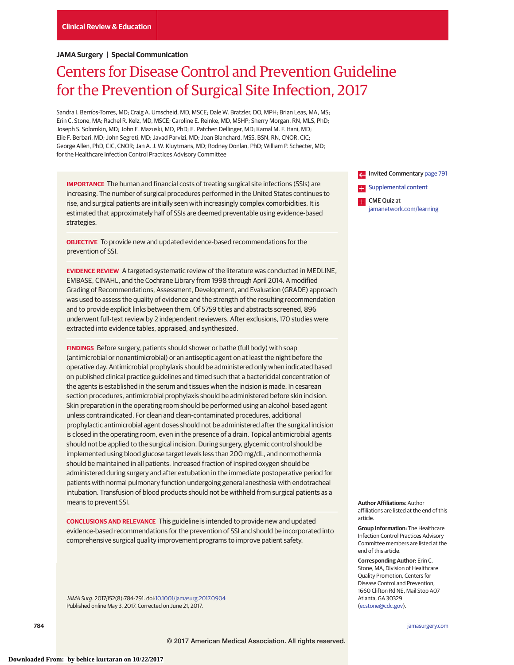## **JAMA Surgery | Special Communication**

# Centers for Disease Control and Prevention Guideline for the Prevention of Surgical Site Infection, 2017

Sandra I. Berríos-Torres, MD; Craig A. Umscheid, MD, MSCE; Dale W. Bratzler, DO, MPH; Brian Leas, MA, MS; Erin C. Stone, MA; Rachel R. Kelz, MD, MSCE; Caroline E. Reinke, MD, MSHP; Sherry Morgan, RN, MLS, PhD; Joseph S. Solomkin, MD; John E. Mazuski, MD, PhD; E. Patchen Dellinger, MD; Kamal M. F. Itani, MD; Elie F. Berbari, MD; John Segreti, MD; Javad Parvizi, MD; Joan Blanchard, MSS, BSN, RN, CNOR, CIC; George Allen, PhD, CIC, CNOR; Jan A. J. W. Kluytmans, MD; Rodney Donlan, PhD; William P. Schecter, MD; for the Healthcare Infection Control Practices Advisory Committee

**IMPORTANCE** The human and financial costs of treating surgical site infections (SSIs) are increasing. The number of surgical procedures performed in the United States continues to rise, and surgical patients are initially seen with increasingly complex comorbidities. It is estimated that approximately half of SSIs are deemed preventable using evidence-based strategies.

**OBJECTIVE** To provide new and updated evidence-based recommendations for the prevention of SSI.

**EVIDENCE REVIEW** A targeted systematic review of the literature was conducted in MEDLINE, EMBASE, CINAHL, and the Cochrane Library from 1998 through April 2014. A modified Grading of Recommendations, Assessment, Development, and Evaluation (GRADE) approach was used to assess the quality of evidence and the strength of the resulting recommendation and to provide explicit links between them. Of 5759 titles and abstracts screened, 896 underwent full-text review by 2 independent reviewers. After exclusions, 170 studies were extracted into evidence tables, appraised, and synthesized.

**FINDINGS** Before surgery, patients should shower or bathe (full body) with soap (antimicrobial or nonantimicrobial) or an antiseptic agent on at least the night before the operative day. Antimicrobial prophylaxis should be administered only when indicated based on published clinical practice guidelines and timed such that a bactericidal concentration of the agents is established in the serum and tissues when the incision is made. In cesarean section procedures, antimicrobial prophylaxis should be administered before skin incision. Skin preparation in the operating room should be performed using an alcohol-based agent unless contraindicated. For clean and clean-contaminated procedures, additional prophylactic antimicrobial agent doses should not be administered after the surgical incision is closed in the operating room, even in the presence of a drain. Topical antimicrobial agents should not be applied to the surgical incision. During surgery, glycemic control should be implemented using blood glucose target levels less than 200 mg/dL, and normothermia should be maintained in all patients. Increased fraction of inspired oxygen should be administered during surgery and after extubation in the immediate postoperative period for patients with normal pulmonary function undergoing general anesthesia with endotracheal intubation. Transfusion of blood products should not be withheld from surgical patients as a means to prevent SSI.

**CONCLUSIONS AND RELEVANCE** This guideline is intended to provide new and updated evidence-based recommendations for the prevention of SSI and should be incorporated into comprehensive surgical quality improvement programs to improve patient safety.

JAMA Surg. 2017;152(8):784-791. doi[:10.1001/jamasurg.2017.0904](http://jama.jamanetwork.com/article.aspx?doi=10.1001/jamasurg.2017.0904&utm_campaign=articlePDF%26utm_medium=articlePDFlink%26utm_source=articlePDF%26utm_content=jamasurg.2017.0904) Published online May 3, 2017. Corrected on June 21, 2017.

**Invited Commentary [page 791](http://jama.jamanetwork.com/article.aspx?doi=10.1001/jamasurg.2017.0901&utm_campaign=articlePDF%26utm_medium=articlePDFlink%26utm_source=articlePDF%26utm_content=jamasurg.2017.0904)** 

**Examplemental content** 

**F** CME Quiz at [jamanetwork.com/learning](http://www.jamanetwork.com/learning/?utm_campaign=articlePDF%26utm_medium=articlePDFlink%26utm_source=articlePDF%26utm_content=jamasurg.2017.0904)

**Author Affiliations:** Author affiliations are listed at the end of this article.

**Group Information:** The Healthcare Infection Control Practices Advisory Committee members are listed at the end of this article.

**Corresponding Author:** Erin C. Stone, MA, Division of Healthcare Quality Promotion, Centers for Disease Control and Prevention, 1660 Clifton Rd NE, Mail Stop A07 Atlanta, GA 30329 [\(ecstone@cdc.gov\)](mailto:ecstone@cdc.gov).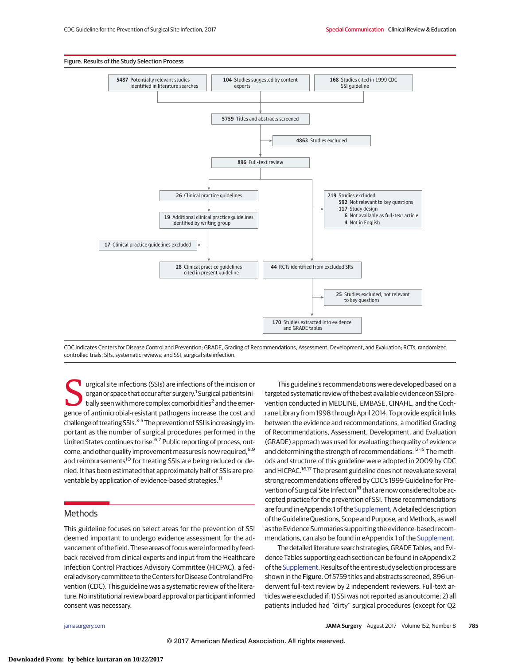

CDC indicates Centers for Disease Control and Prevention; GRADE, Grading of Recommendations, Assessment, Development, and Evaluation; RCTs, randomized controlled trials; SRs, systematic reviews; and SSI, surgical site infection.

urgical site infections (SSIs) are infections of the incision or organ or space that occur after surgery.<sup>1</sup> Surgical patients initially seen with more complex comorbidities<sup>2</sup> and the emergence of antimicrobial-resistant pathogens increase the cost and challenge of treating SSIs.<sup>3-5</sup> The prevention of SSI is increasingly important as the number of surgical procedures performed in the United States continues to rise.<sup>6,7</sup> Public reporting of process, outcome, and other quality improvement measures is now required, 8,9 and reimbursements<sup>10</sup> for treating SSIs are being reduced or denied. It has been estimated that approximately half of SSIs are preventable by application of evidence-based strategies.<sup>11</sup>

## Methods

This guideline focuses on select areas for the prevention of SSI deemed important to undergo evidence assessment for the advancement of the field. These areas of focus were informed by feedback received from clinical experts and input from the Healthcare Infection Control Practices Advisory Committee (HICPAC), a federal advisory committee to the Centers for Disease Control and Prevention (CDC). This guideline was a systematic review of the literature. No institutional review board approval or participant informed consent was necessary.

This guideline's recommendations were developed based on a targeted systematic review of the best available evidence on SSI prevention conducted in MEDLINE, EMBASE, CINAHL, and the Cochrane Library from 1998 through April 2014. To provide explicit links between the evidence and recommendations, a modified Grading of Recommendations, Assessment, Development, and Evaluation (GRADE) approach was used for evaluating the quality of evidence and determining the strength of recommendations.<sup>12-15</sup> The methods and structure of this guideline were adopted in 2009 by CDC and HICPAC.<sup>16,17</sup> The present guideline does not reevaluate several strong recommendations offered by CDC's 1999 Guideline for Prevention of Surgical Site Infection<sup>18</sup> that are now considered to be accepted practice for the prevention of SSI. These recommendations are found in eAppendix 1 of the [Supplement.](http://jama.jamanetwork.com/article.aspx?doi=10.1001/jamasurg.2017.0904&utm_campaign=articlePDF%26utm_medium=articlePDFlink%26utm_source=articlePDF%26utm_content=jamasurg.2017.0904) A detailed description of the Guideline Questions, Scope and Purpose, and Methods, as well as the Evidence Summaries supporting the evidence-based recommendations, can also be found in eAppendix 1 of the [Supplement.](http://jama.jamanetwork.com/article.aspx?doi=10.1001/jamasurg.2017.0904&utm_campaign=articlePDF%26utm_medium=articlePDFlink%26utm_source=articlePDF%26utm_content=jamasurg.2017.0904)

The detailed literature search strategies,GRADE Tables, and Evidence Tables supporting each section can be found in eAppendix 2 of the [Supplement.](http://jama.jamanetwork.com/article.aspx?doi=10.1001/jamasurg.2017.0904&utm_campaign=articlePDF%26utm_medium=articlePDFlink%26utm_source=articlePDF%26utm_content=jamasurg.2017.0904) Results of the entire study selection process are shown in the Figure. Of 5759 titles and abstracts screened, 896 underwent full-text review by 2 independent reviewers. Full-text articles were excluded if: 1) SSI was not reported as an outcome; 2) all patients included had "dirty" surgical procedures (except for Q2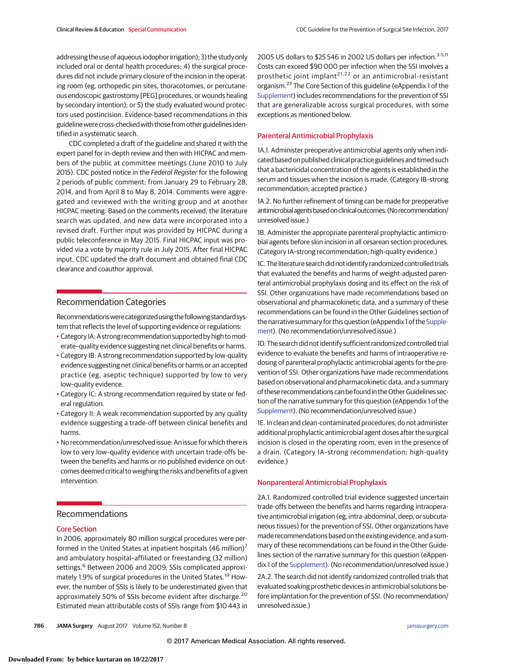addressing the use of aqueous iodophor irrigation); 3) the study only included oral or dental health procedures; 4) the surgical procedures did not include primary closure of the incision in the operating room (eg, orthopedic pin sites, thoracotomies, or percutaneous endoscopic gastrostomy [PEG] procedures, or wounds healing by secondary intention); or 5) the study evaluated wound protectors used postincision. Evidence-based recommendations in this guideline were cross-checked with those from other guidelines identified in a systematic search.

CDC completed a draft of the guideline and shared it with the expert panel for in-depth review and then with HICPAC and members of the public at committee meetings (June 2010 to July 2015). CDC posted notice in the Federal Register for the following 2 periods of public comment: from January 29 to February 28, 2014, and from April 8 to May 8, 2014. Comments were aggregated and reviewed with the writing group and at another HICPAC meeting. Based on the comments received, the literature search was updated, and new data were incorporated into a revised draft. Further input was provided by HICPAC during a public teleconference in May 2015. Final HICPAC input was provided via a vote by majority rule in July 2015. After final HICPAC input, CDC updated the draft document and obtained final CDC clearance and coauthor approval.

## Recommendation Categories

Recommendations were categorized using the following standard system that reflects the level of supporting evidence or regulations:

- Category IA: A strong recommendation supported by high to moderate–quality evidence suggesting net clinical benefits or harms.
- Category IB: A strong recommendation supported by low-quality evidence suggesting net clinical benefits or harms or an accepted practice (eg, aseptic technique) supported by low to very low–quality evidence.
- Category IC: A strong recommendation required by state or federal regulation.
- Category II: A weak recommendation supported by any quality evidence suggesting a trade-off between clinical benefits and harms.
- No recommendation/unresolved issue: An issue for which there is low to very low–quality evidence with uncertain trade-offs between the benefits and harms or no published evidence on outcomes deemed critical to weighing the risks and benefits of a given intervention.

## Recommendations

#### Core Section

In 2006, approximately 80 million surgical procedures were performed in the United States at inpatient hospitals (46 million) $<sup>7</sup>$ </sup> and ambulatory hospital–affiliated or freestanding (32 million) settings.<sup>6</sup> Between 2006 and 2009, SSIs complicated approximately 1.9% of surgical procedures in the United States.<sup>19</sup> However, the number of SSIs is likely to be underestimated given that approximately 50% of SSIs become evident after discharge.<sup>20</sup> Estimated mean attributable costs of SSIs range from \$10 443 in 2005 US dollars to \$25 546 in 2002 US dollars per infection.<sup>3-5,11</sup> Costs can exceed \$90 000 per infection when the SSI involves a prosthetic joint implant<sup>21,22</sup> or an antimicrobial-resistant organism.<sup>23</sup> The Core Section of this guideline (eAppendix 1 of the [Supplement\)](http://jama.jamanetwork.com/article.aspx?doi=10.1001/jamasurg.2017.0904&utm_campaign=articlePDF%26utm_medium=articlePDFlink%26utm_source=articlePDF%26utm_content=jamasurg.2017.0904) includes recommendations for the prevention of SSI that are generalizable across surgical procedures, with some exceptions as mentioned below.

#### Parenteral Antimicrobial Prophylaxis

1A.1. Administer preoperative antimicrobial agents only when indicated based on published clinical practice guidelines and timed such that a bactericidal concentration of the agents is established in the serum and tissues when the incision is made. (Category IB–strong recommendation; accepted practice.)

1A.2. No further refinement of timing can be made for preoperative antimicrobial agents based on clinical outcomes. (No recommendation/ unresolved issue.)

1B. Administer the appropriate parenteral prophylactic antimicrobial agents before skin incision in all cesarean section procedures. (Category IA–strong recommendation; high-quality evidence.)

1C. The literature search did not identify randomized controlled trials that evaluated the benefits and harms of weight-adjusted parenteral antimicrobial prophylaxis dosing and its effect on the risk of SSI. Other organizations have made recommendations based on observational and pharmacokinetic data, and a summary of these recommendations can be found in the Other Guidelines section of the narrative summary for this question (eAppendix 1 of the [Supple](http://jama.jamanetwork.com/article.aspx?doi=10.1001/jamasurg.2017.0904&utm_campaign=articlePDF%26utm_medium=articlePDFlink%26utm_source=articlePDF%26utm_content=jamasurg.2017.0904)[ment\)](http://jama.jamanetwork.com/article.aspx?doi=10.1001/jamasurg.2017.0904&utm_campaign=articlePDF%26utm_medium=articlePDFlink%26utm_source=articlePDF%26utm_content=jamasurg.2017.0904). (No recommendation/unresolved issue.)

1D. The search did not identify sufficient randomized controlled trial evidence to evaluate the benefits and harms of intraoperative redosing of parenteral prophylactic antimicrobial agents for the prevention of SSI. Other organizations have made recommendations based on observational and pharmacokinetic data, and a summary of these recommendations can be found in the Other Guidelines section of the narrative summary for this question (eAppendix 1 of the [Supplement\)](http://jama.jamanetwork.com/article.aspx?doi=10.1001/jamasurg.2017.0904&utm_campaign=articlePDF%26utm_medium=articlePDFlink%26utm_source=articlePDF%26utm_content=jamasurg.2017.0904). (No recommendation/unresolved issue.)

1E. In clean and clean-contaminated procedures, do not administer additional prophylactic antimicrobial agent doses after the surgical incision is closed in the operating room, even in the presence of a drain. (Category IA–strong recommendation; high-quality evidence.)

#### Nonparenteral Antimicrobial Prophylaxis

2A.1. Randomized controlled trial evidence suggested uncertain trade-offs between the benefits and harms regarding intraoperative antimicrobial irrigation (eg, intra-abdominal, deep, or subcutaneous tissues) for the prevention of SSI. Other organizations have made recommendations based on the existing evidence, and a summary of these recommendations can be found in the Other Guidelines section of the narrative summary for this question (eAppendix 1 of the [Supplement\)](http://jama.jamanetwork.com/article.aspx?doi=10.1001/jamasurg.2017.0904&utm_campaign=articlePDF%26utm_medium=articlePDFlink%26utm_source=articlePDF%26utm_content=jamasurg.2017.0904). (No recommendation/unresolved issue.)

2A.2. The search did not identify randomized controlled trials that evaluated soaking prosthetic devices in antimicrobial solutions before implantation for the prevention of SSI. (No recommendation/ unresolved issue.)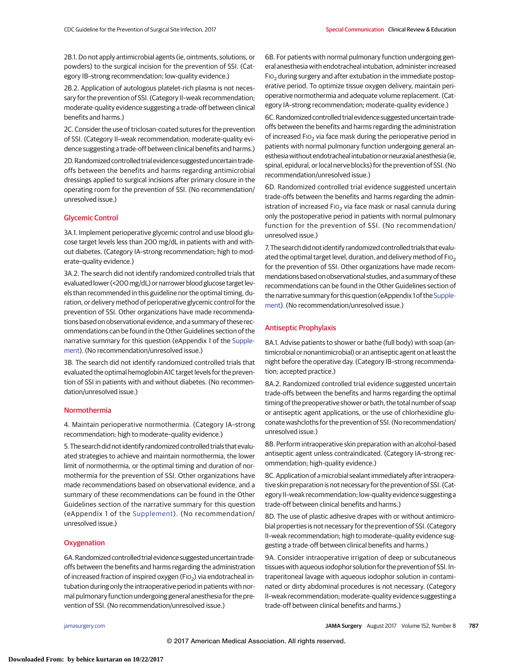2B.1. Do not apply antimicrobial agents (ie, ointments, solutions, or powders) to the surgical incision for the prevention of SSI. (Category IB–strong recommendation; low-quality evidence.)

2B.2. Application of autologous platelet-rich plasma is not necessary for the prevention of SSI. (Category II–weak recommendation; moderate-quality evidence suggesting a trade-off between clinical benefits and harms.)

2C. Consider the use of triclosan-coated sutures for the prevention of SSI. (Category II–weak recommendation; moderate-quality evidence suggesting a trade-off between clinical benefits and harms.)

2D. Randomized controlled trial evidence suggested uncertain tradeoffs between the benefits and harms regarding antimicrobial dressings applied to surgical incisions after primary closure in the operating room for the prevention of SSI. (No recommendation/ unresolved issue.)

## Glycemic Control

3A.1. Implement perioperative glycemic control and use blood glucose target levels less than 200 mg/dL in patients with and without diabetes. (Category IA–strong recommendation; high to moderate–quality evidence.)

3A.2. The search did not identify randomized controlled trials that evaluated lower (<200mg/dL) or narrower blood glucose target levels than recommended in this guideline nor the optimal timing, duration, or delivery method of perioperative glycemic control for the prevention of SSI. Other organizations have made recommendations based on observational evidence, and a summary of these recommendations can be found in the Other Guidelines section of the narrative summary for this question (eAppendix 1 of the [Supple](http://jama.jamanetwork.com/article.aspx?doi=10.1001/jamasurg.2017.0904&utm_campaign=articlePDF%26utm_medium=articlePDFlink%26utm_source=articlePDF%26utm_content=jamasurg.2017.0904)[ment\)](http://jama.jamanetwork.com/article.aspx?doi=10.1001/jamasurg.2017.0904&utm_campaign=articlePDF%26utm_medium=articlePDFlink%26utm_source=articlePDF%26utm_content=jamasurg.2017.0904). (No recommendation/unresolved issue.)

3B. The search did not identify randomized controlled trials that evaluated the optimal hemoglobin A1C target levels for the prevention of SSI in patients with and without diabetes. (No recommendation/unresolved issue.)

#### Normothermia

4. Maintain perioperative normothermia. (Category IA–strong recommendation; high to moderate–quality evidence.)

5. The search did not identify randomized controlled trials thatevaluated strategies to achieve and maintain normothermia, the lower limit of normothermia, or the optimal timing and duration of normothermia for the prevention of SSI. Other organizations have made recommendations based on observational evidence, and a summary of these recommendations can be found in the Other Guidelines section of the narrative summary for this question (eAppendix 1 of the [Supplement\)](http://jama.jamanetwork.com/article.aspx?doi=10.1001/jamasurg.2017.0904&utm_campaign=articlePDF%26utm_medium=articlePDFlink%26utm_source=articlePDF%26utm_content=jamasurg.2017.0904). (No recommendation/ unresolved issue.)

#### **Oxygenation**

6A. Randomized controlled trialevidence suggested uncertain tradeoffs between the benefits and harms regarding the administration of increased fraction of inspired oxygen (FIO<sub>2</sub>) via endotracheal intubation during only the intraoperative period in patients with normal pulmonary function undergoing general anesthesia for the prevention of SSI. (No recommendation/unresolved issue.)

6B. For patients with normal pulmonary function undergoing general anesthesia with endotracheal intubation, administer increased  $F1O<sub>2</sub>$  during surgery and after extubation in the immediate postoperative period. To optimize tissue oxygen delivery, maintain perioperative normothermia and adequate volume replacement. (Category IA–strong recommendation; moderate-quality evidence.)

6C. Randomized controlled trialevidence suggested uncertain tradeoffs between the benefits and harms regarding the administration of increased FIO<sub>2</sub> via face mask during the perioperative period in patients with normal pulmonary function undergoing general anesthesia without endotracheal intubation or neuraxial anesthesia (ie, spinal, epidural, or local nerve blocks) for the prevention of SSI. (No recommendation/unresolved issue.)

6D. Randomized controlled trial evidence suggested uncertain trade-offs between the benefits and harms regarding the administration of increased FIO<sub>2</sub> via face mask or nasal cannula during only the postoperative period in patients with normal pulmonary function for the prevention of SSI. (No recommendation/ unresolved issue.)

7. The search did not identify randomized controlled trials that evaluated the optimal target level, duration, and delivery method of FIO<sub>2</sub> for the prevention of SSI. Other organizations have made recommendations based on observational studies, and a summary of these recommendations can be found in the Other Guidelines section of the narrative summary for this question (eAppendix 1 of the [Supple](http://jama.jamanetwork.com/article.aspx?doi=10.1001/jamasurg.2017.0904&utm_campaign=articlePDF%26utm_medium=articlePDFlink%26utm_source=articlePDF%26utm_content=jamasurg.2017.0904)[ment\)](http://jama.jamanetwork.com/article.aspx?doi=10.1001/jamasurg.2017.0904&utm_campaign=articlePDF%26utm_medium=articlePDFlink%26utm_source=articlePDF%26utm_content=jamasurg.2017.0904). (No recommendation/unresolved issue.)

#### Antiseptic Prophylaxis

8A.1. Advise patients to shower or bathe (full body) with soap (antimicrobial or nonantimicrobial) or an antiseptic agent on at least the night before the operative day. (Category IB–strong recommendation; accepted practice.)

8A.2. Randomized controlled trial evidence suggested uncertain trade-offs between the benefits and harms regarding the optimal timing of the preoperative shower or bath, the total number of soap or antiseptic agent applications, or the use of chlorhexidine gluconate washcloths for the prevention of SSI. (No recommendation/ unresolved issue.)

8B. Perform intraoperative skin preparation with an alcohol-based antiseptic agent unless contraindicated. (Category IA–strong recommendation; high-quality evidence.)

8C. Application of a microbial sealant immediately after intraoperative skin preparation is not necessary for the prevention of SSI. (Category II–weak recommendation; low-quality evidence suggesting a trade-off between clinical benefits and harms.)

8D. The use of plastic adhesive drapes with or without antimicrobial properties is not necessary for the prevention of SSI. (Category II–weak recommendation; high to moderate–quality evidence suggesting a trade-off between clinical benefits and harms.)

9A. Consider intraoperative irrigation of deep or subcutaneous tissues with aqueous iodophor solution for the prevention of SSI. Intraperitoneal lavage with aqueous iodophor solution in contaminated or dirty abdominal procedures is not necessary. (Category II–weak recommendation; moderate-quality evidence suggesting a trade-off between clinical benefits and harms.)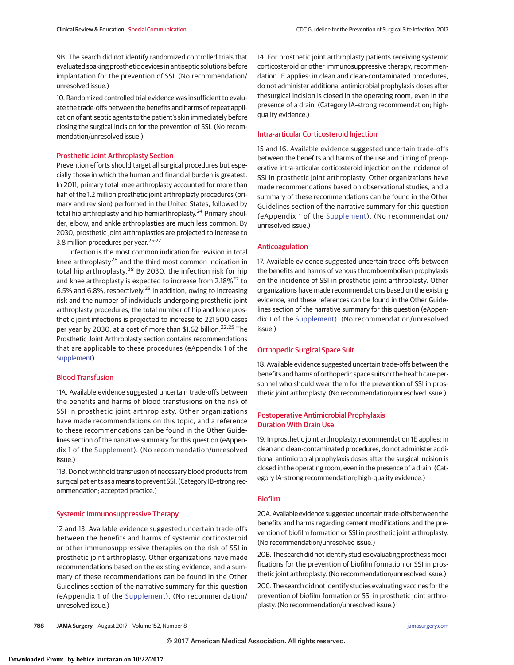9B. The search did not identify randomized controlled trials that evaluated soaking prosthetic devices in antiseptic solutions before implantation for the prevention of SSI. (No recommendation/ unresolved issue.)

10. Randomized controlled trial evidence was insufficient to evaluate the trade-offs between the benefits and harms of repeat application of antiseptic agents to the patient's skin immediately before closing the surgical incision for the prevention of SSI. (No recommendation/unresolved issue.)

## Prosthetic Joint Arthroplasty Section

Prevention efforts should target all surgical procedures but especially those in which the human and financial burden is greatest. In 2011, primary total knee arthroplasty accounted for more than half of the 1.2 million prosthetic joint arthroplasty procedures (primary and revision) performed in the United States, followed by total hip arthroplasty and hip hemiarthroplasty.<sup>24</sup> Primary shoulder, elbow, and ankle arthroplasties are much less common. By 2030, prosthetic joint arthroplasties are projected to increase to 3.8 million procedures per year.<sup>25-27</sup>

Infection is the most common indication for revision in total knee arthroplasty<sup>28</sup> and the third most common indication in total hip arthroplasty.<sup>28</sup> By 2030, the infection risk for hip and knee arthroplasty is expected to increase from 2.18%<sup>22</sup> to 6.5% and 6.8%, respectively.<sup>25</sup> In addition, owing to increasing risk and the number of individuals undergoing prosthetic joint arthroplasty procedures, the total number of hip and knee prosthetic joint infections is projected to increase to 221 500 cases per year by 2030, at a cost of more than \$1.62 billion.<sup>22,25</sup> The Prosthetic Joint Arthroplasty section contains recommendations that are applicable to these procedures (eAppendix 1 of the [Supplement\)](http://jama.jamanetwork.com/article.aspx?doi=10.1001/jamasurg.2017.0904&utm_campaign=articlePDF%26utm_medium=articlePDFlink%26utm_source=articlePDF%26utm_content=jamasurg.2017.0904).

## Blood Transfusion

11A. Available evidence suggested uncertain trade-offs between the benefits and harms of blood transfusions on the risk of SSI in prosthetic joint arthroplasty. Other organizations have made recommendations on this topic, and a reference to these recommendations can be found in the Other Guidelines section of the narrative summary for this question (eAppendix 1 of the [Supplement\)](http://jama.jamanetwork.com/article.aspx?doi=10.1001/jamasurg.2017.0904&utm_campaign=articlePDF%26utm_medium=articlePDFlink%26utm_source=articlePDF%26utm_content=jamasurg.2017.0904). (No recommendation/unresolved issue.)

11B. Do not withhold transfusion of necessary blood products from surgical patients as a means to prevent SSI. (Category IB–strong recommendation; accepted practice.)

#### Systemic Immunosuppressive Therapy

12 and 13. Available evidence suggested uncertain trade-offs between the benefits and harms of systemic corticosteroid or other immunosuppressive therapies on the risk of SSI in prosthetic joint arthroplasty. Other organizations have made recommendations based on the existing evidence, and a summary of these recommendations can be found in the Other Guidelines section of the narrative summary for this question (eAppendix 1 of the [Supplement\)](http://jama.jamanetwork.com/article.aspx?doi=10.1001/jamasurg.2017.0904&utm_campaign=articlePDF%26utm_medium=articlePDFlink%26utm_source=articlePDF%26utm_content=jamasurg.2017.0904). (No recommendation/ unresolved issue.)

14. For prosthetic joint arthroplasty patients receiving systemic corticosteroid or other immunosuppressive therapy, recommendation 1E applies: in clean and clean-contaminated procedures, do not administer additional antimicrobial prophylaxis doses after thesurgical incision is closed in the operating room, even in the presence of a drain. (Category IA–strong recommendation; highquality evidence.)

#### Intra-articular Corticosteroid Injection

15 and 16. Available evidence suggested uncertain trade-offs between the benefits and harms of the use and timing of preoperative intra-articular corticosteroid injection on the incidence of SSI in prosthetic joint arthroplasty. Other organizations have made recommendations based on observational studies, and a summary of these recommendations can be found in the Other Guidelines section of the narrative summary for this question (eAppendix 1 of the [Supplement](http://jama.jamanetwork.com/article.aspx?doi=10.1001/jamasurg.2017.0904&utm_campaign=articlePDF%26utm_medium=articlePDFlink%26utm_source=articlePDF%26utm_content=jamasurg.2017.0904)). (No recommendation/ unresolved issue.)

#### Anticoagulation

17. Available evidence suggested uncertain trade-offs between the benefits and harms of venous thromboembolism prophylaxis on the incidence of SSI in prosthetic joint arthroplasty. Other organizations have made recommendations based on the existing evidence, and these references can be found in the Other Guidelines section of the narrative summary for this question (eAppendix 1 of the [Supplement\)](http://jama.jamanetwork.com/article.aspx?doi=10.1001/jamasurg.2017.0904&utm_campaign=articlePDF%26utm_medium=articlePDFlink%26utm_source=articlePDF%26utm_content=jamasurg.2017.0904). (No recommendation/unresolved issue.)

#### Orthopedic Surgical Space Suit

18. Available evidence suggested uncertain trade-offs between the benefits and harms of orthopedic space suits or the health care personnel who should wear them for the prevention of SSI in prosthetic joint arthroplasty. (No recommendation/unresolved issue.)

## Postoperative Antimicrobial Prophylaxis Duration With Drain Use

19. In prosthetic joint arthroplasty, recommendation 1E applies: in clean and clean-contaminated procedures, do not administer additional antimicrobial prophylaxis doses after the surgical incision is closed in the operating room, even in the presence of a drain. (Category IA–strong recommendation; high-quality evidence.)

## Biofilm

20A. Available evidence suggested uncertain trade-offs between the benefits and harms regarding cement modifications and the prevention of biofilm formation or SSI in prosthetic joint arthroplasty. (No recommendation/unresolved issue.)

20B. The search did not identify studies evaluating prosthesis modifications for the prevention of biofilm formation or SSI in prosthetic joint arthroplasty. (No recommendation/unresolved issue.)

20C. The search did not identify studies evaluating vaccines for the prevention of biofilm formation or SSI in prosthetic joint arthroplasty. (No recommendation/unresolved issue.)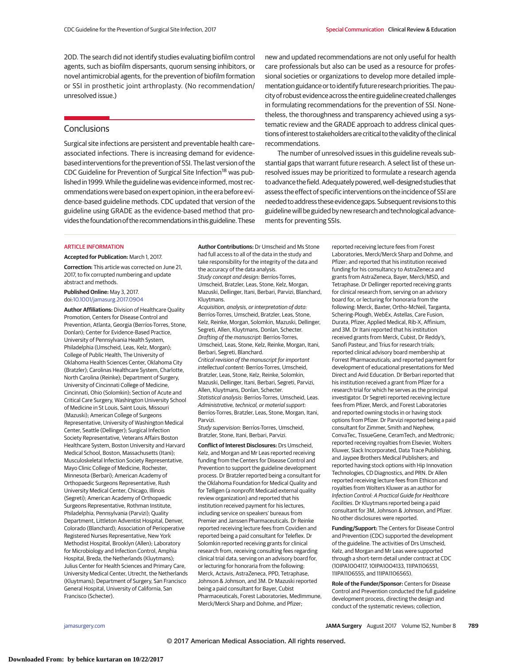20D. The search did not identify studies evaluating biofilm control agents, such as biofilm dispersants, quorum sensing inhibitors, or novel antimicrobial agents, for the prevention of biofilm formation or SSI in prosthetic joint arthroplasty. (No recommendation/ unresolved issue.)

## **Conclusions**

Surgical site infections are persistent and preventable health care– associated infections. There is increasing demand for evidencebased interventions for the prevention of SSI. The last version of the CDC Guideline for Prevention of Surgical Site Infection<sup>18</sup> was published in 1999. While the guideline was evidence informed, most recommendations were based on expert opinion, in the era before evidence-based guideline methods. CDC updated that version of the guideline using GRADE as the evidence-based method that provides the foundation of the recommendations in this guideline. These

#### ARTICLE INFORMATION

**Accepted for Publication:** March 1, 2017.

**Correction:** This article was corrected on June 21, 2017, to fix corrupted numbering and update abstract and methods.

**Published Online:** May 3, 2017. doi[:10.1001/jamasurg.2017.0904](http://jama.jamanetwork.com/article.aspx?doi=10.1001/jamasurg.2017.0904&utm_campaign=articlePDF%26utm_medium=articlePDFlink%26utm_source=articlePDF%26utm_content=jamasurg.2017.0904)

**Author Affiliations:** Division of Healthcare Quality Promotion, Centers for Disease Control and Prevention, Atlanta, Georgia (Berríos-Torres, Stone, Donlan); Center for Evidence-Based Practice, University of Pennsylvania Health System, Philadelphia (Umscheid, Leas, Kelz, Morgan); College of Public Health, The University of Oklahoma Health Sciences Center, Oklahoma City (Bratzler); Carolinas Healthcare System, Charlotte, North Carolina (Reinke); Department of Surgery, University of Cincinnati College of Medicine, Cincinnati, Ohio (Solomkin); Section of Acute and Critical Care Surgery, Washington University School of Medicine in St Louis, Saint Louis, Missouri (Mazuski); American College of Surgeons Representative, University of Washington Medical Center, Seattle (Dellinger); Surgical Infection Society Representative, Veterans Affairs Boston Healthcare System, Boston University and Harvard Medical School, Boston, Massachusetts (Itani); Musculoskeletal Infection Society Representative, Mayo Clinic College of Medicine, Rochester, Minnesota (Berbari); American Academy of Orthopaedic Surgeons Representative, Rush University Medical Center, Chicago, Illinois (Segreti); American Academy of Orthopaedic Surgeons Representative, Rothman Institute, Philadelphia, Pennsylvania (Parvizi); Quality Department, Littleton Adventist Hospital, Denver, Colorado (Blanchard); Association of Perioperative Registered Nurses Representative, New York Methodist Hospital, Brooklyn (Allen); Laboratory for Microbiology and Infection Control, Amphia Hospital, Breda, the Netherlands (Kluytmans); Julius Center for Health Sciences and Primary Care, University Medical Center, Utrecht, the Netherlands (Kluytmans); Department of Surgery, San Francisco General Hospital, University of California, San Francisco (Schecter).

**Author Contributions:** Dr Umscheid and Ms Stone had full access to all of the data in the study and take responsibility for the integrity of the data and the accuracy of the data analysis. Study concept and design: Berríos-Torres, Umscheid, Bratzler, Leas, Stone, Kelz, Morgan, Mazuski, Dellinger, Itani, Berbari, Parvizi, Blanchard, Kluytmans.

Acquisition, analysis, or interpretation of data: Berríos-Torres, Umscheid, Bratzler, Leas, Stone, Kelz, Reinke, Morgan, Solomkin, Mazuski, Dellinger, Segreti, Allen, Kluytmans, Donlan, Schecter. Drafting of the manuscript: Berríos-Torres, Umscheid, Leas, Stone, Kelz, Reinke, Morgan, Itani, Berbari, Segreti, Blanchard. Critical revision of the manuscript for important

intellectual content: Berríos-Torres, Umscheid, Bratzler, Leas, Stone, Kelz, Reinke, Solomkin, Mazuski, Dellinger, Itani, Berbari, Segreti, Parvizi, Allen, Kluytmans, Donlan, Schecter. Statistical analysis: Berríos-Torres, Umscheid, Leas. Administrative, technical, or material support: Berríos-Torres, Bratzler, Leas, Stone, Morgan, Itani, Parvizi.

Study supervision: Berríos-Torres, Umscheid, Bratzler, Stone, Itani, Berbari, Parvizi.

**Conflict of Interest Disclosures:** Drs Umscheid, Kelz, and Morgan and Mr Leas reported receiving funding from the Centers for Disease Control and Prevention to support the guideline development process. Dr Bratzler reported being a consultant for the Oklahoma Foundation for Medical Quality and for Telligen (a nonprofit Medicaid external quality review organization) and reported that his institution received payment for his lectures, including service on speakers' bureaus from Premier and Janssen Pharmaceuticals. Dr Reinke reported receiving lecture fees from Covidien and reported being a paid consultant for Teleflex. Dr Solomkin reported receiving grants for clinical research from, receiving consulting fees regarding clinical trial data, serving on an advisory board for, or lecturing for honoraria from the following: Merck, Actavis, AstraZeneca, PPD, Tetraphase, Johnson & Johnson, and 3M. Dr Mazuski reported being a paid consultant for Bayer, Cubist Pharmaceuticals, Forest Laboratories, MedImmune, Merck/Merck Sharp and Dohme, and Pfizer;

new and updated recommendations are not only useful for health care professionals but also can be used as a resource for professional societies or organizations to develop more detailed implementation guidance or to identify future research priorities. The paucity of robust evidence across the entire guideline created challenges in formulating recommendations for the prevention of SSI. Nonetheless, the thoroughness and transparency achieved using a systematic review and the GRADE approach to address clinical questions of interest to stakeholders are critical to the validity of the clinical recommendations.

The number of unresolved issues in this guideline reveals substantial gaps that warrant future research. A select list of these unresolved issues may be prioritized to formulate a research agenda to advance the field. Adequately powered, well-designed studies that assess the effect of specific interventions on the incidence of SSI are needed to address these evidence gaps. Subsequent revisions to this guideline will be guided by new research and technological advancements for preventing SSIs.

> reported receiving lecture fees from Forest Laboratories, Merck/Merck Sharp and Dohme, and Pfizer; and reported that his institution received funding for his consultancy to AstraZeneca and grants from AstraZeneca, Bayer, Merck/MSD, and Tetraphase. Dr Dellinger reported receiving grants for clinical research from, serving on an advisory board for, or lecturing for honoraria from the following: Merck, Baxter, Ortho-McNeil, Targanta, Schering-Plough, WebEx, Astellas, Care Fusion, Durata, Pfizer, Applied Medical, Rib-X, Affinium, and 3M. Dr Itani reported that his institution received grants from Merck, Cubist, Dr Reddy's, Sanofi Pasteur, and Trius for research trials; reported clinical advisory board membership at Forrest Pharmaceuticals; and reported payment for development of educational presentations for Med Direct and Avid Education. Dr Berbari reported that his institution received a grant from Pfizer for a research trial for which he serves as the principal investigator. Dr Segreti reported receiving lecture fees from Pfizer, Merck, and Forest Laboratories and reported owning stocks in or having stock options from Pfizer. Dr Parvizi reported being a paid consultant for Zimmer, Smith and Nephew, ConvaTec, TissueGene, CeramTech, and Medtronic; reported receiving royalties from Elsevier, Wolters Kluwer, Slack Incorporated, Data Trace Publishing, and Jaypee Brothers Medical Publishers; and reported having stock options with Hip Innovation Technologies, CD Diagnostics, and PRN. Dr Allen reported receiving lecture fees from Ethicon and royalties from Wolters Kluwer as an author for Infection Control: A Practical Guide for Healthcare Facilities. Dr Kluytmans reported being a paid consultant for 3M, Johnson & Johnson, and Pfizer. No other disclosures were reported.

**Funding/Support:** The Centers for Disease Control and Prevention (CDC) supported the development of the guideline. The activities of Drs Umscheid, Kelz, and Morgan and Mr Leas were supported through a short-term detail under contract at CDC (10IPA1004117, 10IPA1004133, 11IPA1106551, 11IPA1106555, and 11IPA1106565).

**Role of the Funder/Sponsor:** Centers for Disease Control and Prevention conducted the full guideline development process, directing the design and conduct of the systematic reviews; collection,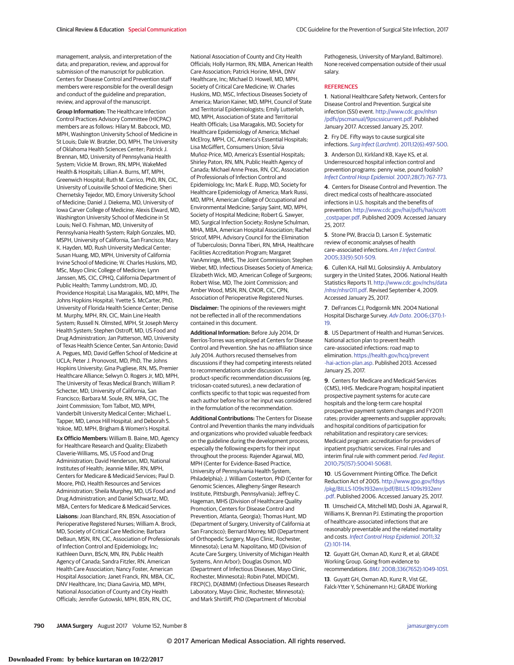management, analysis, and interpretation of the data; and preparation, review, and approval for submission of the manuscript for publication. Centers for Disease Control and Prevention staff members were responsible for the overall design and conduct of the guideline and preparation, review, and approval of the manuscript.

**Group Information:** The Healthcare Infection Control Practices Advisory Committee (HICPAC) members are as follows: Hilary M. Babcock, MD, MPH, Washington University School of Medicine in St Louis; Dale W. Bratzler, DO, MPH, The University of Oklahoma Health Sciences Center; Patrick J. Brennan, MD, University of Pennsylvania Health System; Vickie M. Brown, RN, MPH, WakeMed Health & Hospitals; Lillian A. Burns, MT, MPH, Greenwich Hospital; Ruth M. Carrico, PhD, RN, CIC, University of Louisville School of Medicine; Sheri Chernetsky Tejedor, MD, Emory University School of Medicine; Daniel J. Diekema, MD, University of Iowa Carver College of Medicine; Alexis Elward, MD, Washington University School of Medicine in St Louis; Neil O. Fishman, MD, University of Pennsylvania Health System; Ralph Gonzales, MD, MSPH, University of California, San Francisco; Mary K. Hayden, MD, Rush University Medical Center; Susan Huang, MD, MPH, University of California Irvine School of Medicine; W. Charles Huskins, MD, MSc, Mayo Clinic College of Medicine; Lynn Janssen, MS, CIC, CPHQ, California Department of Public Health; Tammy Lundstrom, MD, JD, Providence Hospital; Lisa Maragakis, MD, MPH, The Johns Hopkins Hospital; Yvette S. McCarter, PhD, University of Florida Health Science Center; Denise M. Murphy, MPH, RN, CIC, Main Line Health System; Russell N. Olmsted, MPH, St Joseph Mercy Health System; Stephen Ostroff, MD, US Food and Drug Administration; Jan Patterson, MD, University of Texas Health Science Center, San Antonio; David A. Pegues, MD, David Geffen School of Medicine at UCLA; Peter J. Pronovost, MD, PhD, The Johns Hopkins University; Gina Pugliese, RN, MS, Premier Healthcare Alliance; Selwyn O. Rogers Jr, MD, MPH, The University of Texas Medical Branch; William P. Schecter, MD, University of California, San Francisco; Barbara M. Soule, RN, MPA, CIC, The Joint Commission; Tom Talbot, MD, MPH, Vanderbilt University Medical Center; Michael L. Tapper, MD, Lenox Hill Hospital; and Deborah S. Yokoe, MD, MPH, Brigham & Women's Hospital.

**Ex Officio Members:** William B. Baine, MD, Agency for Healthcare Research and Quality; Elizabeth Claverie-Williams, MS, US Food and Drug Administration; David Henderson, MD, National Institutes of Health; Jeannie Miller, RN, MPH, Centers for Medicare & Medicaid Services; Paul D. Moore, PhD, Health Resources and Services Administration; Sheila Murphey, MD, US Food and Drug Administration; and Daniel Schwartz, MD, MBA, Centers for Medicare & Medicaid Services.

**Liaisons:** Joan Blanchard, RN, BSN, Association of Perioperative Registered Nurses; William A. Brock, MD, Society of Critical Care Medicine; Barbara DeBaun, MSN, RN, CIC, Association of Professionals of Infection Control and Epidemiology, Inc; Kathleen Dunn, BScN, MN, RN, Public Health Agency of Canada; Sandra Fitzler, RN, American Health Care Association; Nancy Foster, American Hospital Association; Janet Franck, RN, MBA, CIC, DNV Healthcare, Inc; Diana Gaviria, MD, MPH, National Association of County and City Health Officials; Jennifer Gutowski, MPH, BSN, RN, CIC,

National Association of County and City Health Officials; Holly Harmon, RN, MBA, American Health Care Association; Patrick Horine, MHA, DNV Healthcare, Inc; Michael D. Howell, MD, MPH, Society of Critical Care Medicine; W. Charles Huskins, MD, MSC, Infectious Diseases Society of America; Marion Kainer, MD, MPH, Council of State and Territorial Epidemiologists; Emily Lutterloh, MD, MPH, Association of State and Territorial Health Officials; Lisa Maragakis, MD, Society for Healthcare Epidemiology of America; Michael McElroy, MPH, CIC, America's Essential Hospitals; Lisa McGiffert, Consumers Union; Silvia Muñoz-Price, MD, America's Essential Hospitals; Shirley Paton, RN, MN, Public Health Agency of Canada; Michael Anne Preas, RN, CIC, Association of Professionals of Infection Control and Epidemiology, Inc; Mark E. Rupp, MD, Society for Healthcare Epidemiology of America; Mark Russi, MD, MPH, American College of Occupational and Environmental Medicine; Sanjay Saint, MD, MPH, Society of Hospital Medicine; Robert G. Sawyer, MD, Surgical Infection Society; Roslyne Schulman, MHA, MBA, American Hospital Association; Rachel Stricof, MPH, Advisory Council for the Elimination of Tuberculosis; Donna Tiberi, RN, MHA, Healthcare Facilities Accreditation Program; Margaret VanAmringe, MHS, The Joint Commission; Stephen Weber, MD, Infectious Diseases Society of America; Elizabeth Wick, MD, American College of Surgeons; Robert Wise, MD, The Joint Commission; and Amber Wood, MSN, RN, CNOR, CIC, CPN, Association of Perioperative Registered Nurses.

**Disclaimer:** The opinions of the reviewers might not be reflected in all of the recommendations contained in this document.

**Additional Information:** Before July 2014, Dr Berríos-Torres was employed at Centers for Disease Control and Prevention. She has no affiliation since July 2014. Authors recused themselves from discussions if they had competing interests related to recommendations under discussion. For product-specific recommendation discussions (eg, triclosan-coated sutures), a new declaration of conflicts specific to that topic was requested from each author before his or her input was considered in the formulation of the recommendation.

**Additional Contributions:** The Centers for Disease Control and Prevention thanks the many individuals and organizations who provided valuable feedback on the guideline during the development process, especially the following experts for their input throughout the process: Rajender Agarwal, MD, MPH (Center for Evidence-Based Practice, University of Pennsylvania Health System, Philadelphia); J. William Costerton, PhD (Center for Genomic Sciences, Allegheny-Singer Research Institute, Pittsburgh, Pennsylvania); Jeffrey C. Hageman, MHS (Division of Healthcare Quality Promotion, Centers for Disease Control and Prevention, Atlanta, Georgia); Thomas Hunt, MD (Department of Surgery, University of California at San Francisco); Bernard Morrey, MD (Department of Orthopedic Surgery, Mayo Clinic, Rochester, Minnesota); Lena M. Napolitano, MD (Division of Acute Care Surgery, University of Michigan Health Systems, Ann Arbor); Douglas Osmon, MD (Department of Infectious Diseases, Mayo Clinic, Rochester, Minnesota); Robin Patel, MD(CM), FRCP(C), D(ABMM) (Infectious Diseases Research Laboratory, Mayo Clinic, Rochester, Minnesota); and Mark Shirtliff, PhD (Department of Microbial

Pathogenesis, University of Maryland, Baltimore). None received compensation outside of their usual salary.

#### **REFERENCES**

**1**. National Healthcare Safety Network, Centers for Disease Control and Prevention. Surgical site infection (SSI) event. [http://www.cdc.gov/nhsn](http://www.cdc.gov/nhsn/pdfs/pscmanual/9pscssicurrent.pdf) [/pdfs/pscmanual/9pscssicurrent.pdf.](http://www.cdc.gov/nhsn/pdfs/pscmanual/9pscssicurrent.pdf) Published January 2017. Accessed January 25, 2017.

**2**. Fry DE. Fifty ways to cause surgical site infections. Surg Infect (Larchmt)[. 2011;12\(6\):497-500.](https://www.ncbi.nlm.nih.gov/pubmed/22142318)

**3**. Anderson DJ, Kirkland KB, Kaye KS, et al. Underresourced hospital infection control and prevention programs: penny wise, pound foolish? [Infect Control Hosp Epidemiol](https://www.ncbi.nlm.nih.gov/pubmed/17564977). 2007;28(7):767-773.

**4**. Centers for Disease Control and Prevention. The direct medical costs of healthcare-associated infections in U.S. hospitals and the benefits of prevention. [http://www.cdc.gov/hai/pdfs/hai/scott](http://www.cdc.gov/hai/pdfs/hai/scott_costpaper.pdf) [\\_costpaper.pdf.](http://www.cdc.gov/hai/pdfs/hai/scott_costpaper.pdf) Published 2009. Accessed January 25, 2017.

**5**. Stone PW, Braccia D, Larson E. Systematic review of economic analyses of health care–associated infections. [Am J Infect Control](https://www.ncbi.nlm.nih.gov/pubmed/16260325). [2005;33\(9\):501-509.](https://www.ncbi.nlm.nih.gov/pubmed/16260325)

**6**. Cullen KA, Hall MJ, Golosinskiy A. Ambulatory surgery in the United States, 2006. National Health Statistics Reports 11. [http://www.cdc.gov/nchs/data](http://www.cdc.gov/nchs/data/nhsr/nhsr011.pdf) [/nhsr/nhsr011.pdf.](http://www.cdc.gov/nchs/data/nhsr/nhsr011.pdf) Revised September 4, 2009. Accessed January 25, 2017.

**7**. DeFrances CJ, Podgornik MN. 2004 National Hospital Discharge Survey. Adv Data[. 2006;\(371\):1-](https://www.ncbi.nlm.nih.gov/pubmed/16703980) [19.](https://www.ncbi.nlm.nih.gov/pubmed/16703980)

**8**. US Department of Health and Human Services. National action plan to prevent health care–associated infections: road map to elimination. [https://health.gov/hcq/prevent](https://health.gov/hcq/prevent-hai-action-plan.asp) [-hai-action-plan.asp.](https://health.gov/hcq/prevent-hai-action-plan.asp) Published 2013. Accessed January 25, 2017.

**9**. Centers for Medicare and Medicaid Services (CMS), HHS. Medicare Program; hospital inpatient prospective payment systems for acute care hospitals and the long-term care hospital prospective payment system changes and FY2011 rates; provider agreements and supplier approvals; and hospital conditions of participation for rehabilitation and respiratory care services; Medicaid program: accreditation for providers of inpatient psychiatric services. Final rules and interim final rule with comment period. [Fed Regist](https://www.ncbi.nlm.nih.gov/pubmed/20712087). [2010;75\(157\):50041-50681.](https://www.ncbi.nlm.nih.gov/pubmed/20712087)

**10**. US Government Printing Office. The Deficit Reduction Act of 2005. [http://www.gpo.gov/fdsys](http://www.gpo.gov/fdsys/pkg/BILLS-109s1932enr/pdf/BILLS-109s1932enr.pdf) [/pkg/BILLS-109s1932enr/pdf/BILLS-109s1932enr](http://www.gpo.gov/fdsys/pkg/BILLS-109s1932enr/pdf/BILLS-109s1932enr.pdf) [.pdf.](http://www.gpo.gov/fdsys/pkg/BILLS-109s1932enr/pdf/BILLS-109s1932enr.pdf) Published 2006. Accessed January 25, 2017.

**11**. Umscheid CA, Mitchell MD, Doshi JA, Agarwal R, Williams K, Brennan PJ. Estimating the proportion of healthcare-associated infections that are reasonably preventable and the related mortality and costs. [Infect Control Hosp Epidemiol](https://www.ncbi.nlm.nih.gov/pubmed/21460463). 2011;32 [\(2\):101-114.](https://www.ncbi.nlm.nih.gov/pubmed/21460463)

**12**. Guyatt GH, Oxman AD, Kunz R, et al; GRADE Working Group. Going from evidence to recommendations. BMJ[. 2008;336\(7652\):1049-1051.](https://www.ncbi.nlm.nih.gov/pubmed/18467413)

**13**. Guyatt GH, Oxman AD, Kunz R, Vist GE, Falck-Ytter Y, Schünemann HJ; GRADE Working